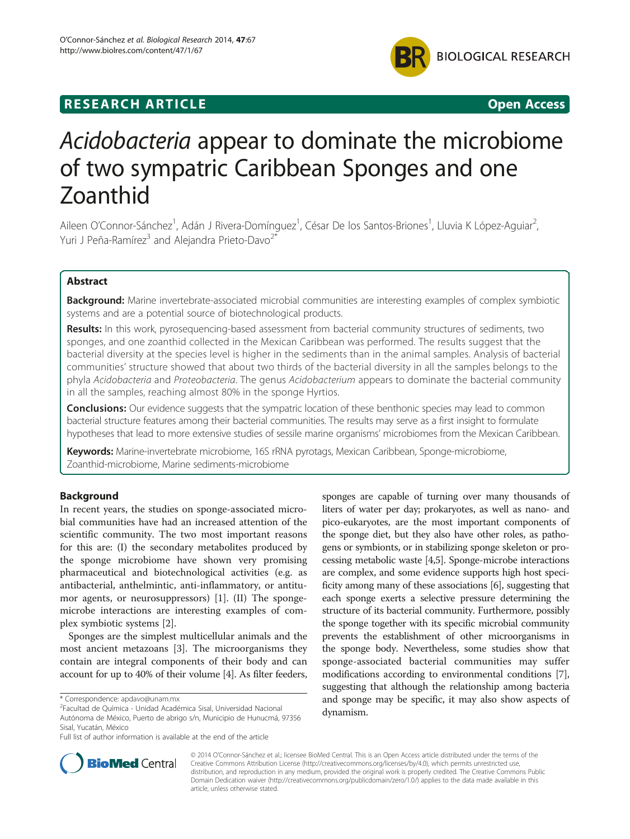

## **RESEARCH ARTICLE Example 2014 CONSIDERING CONSIDERING CONSIDERING CONSIDERING CONSIDERING CONSIDERING CONSIDERING CONSIDERING CONSIDERING CONSIDERING CONSIDERING CONSIDERING CONSIDERING CONSIDERING CONSIDERING CONSIDE**

# Acidobacteria appear to dominate the microbiome of two sympatric Caribbean Sponges and one Zoanthid

Aileen O'Connor-Sánchez<sup>1</sup>, Adán J Rivera-Domínguez<sup>1</sup>, César De los Santos-Briones<sup>1</sup>, Lluvia K López-Aguiar<sup>2</sup> , Yuri J Peña-Ramírez<sup>3</sup> and Alejandra Prieto-Davo<sup>2\*</sup>

## Abstract

Background: Marine invertebrate-associated microbial communities are interesting examples of complex symbiotic systems and are a potential source of biotechnological products.

Results: In this work, pyrosequencing-based assessment from bacterial community structures of sediments, two sponges, and one zoanthid collected in the Mexican Caribbean was performed. The results suggest that the bacterial diversity at the species level is higher in the sediments than in the animal samples. Analysis of bacterial communities' structure showed that about two thirds of the bacterial diversity in all the samples belongs to the phyla Acidobacteria and Proteobacteria. The genus Acidobacterium appears to dominate the bacterial community in all the samples, reaching almost 80% in the sponge Hyrtios.

**Conclusions:** Our evidence suggests that the sympatric location of these benthonic species may lead to common bacterial structure features among their bacterial communities. The results may serve as a first insight to formulate hypotheses that lead to more extensive studies of sessile marine organisms' microbiomes from the Mexican Caribbean.

Keywords: Marine-invertebrate microbiome, 16S rRNA pyrotags, Mexican Caribbean, Sponge-microbiome, Zoanthid-microbiome, Marine sediments-microbiome

## Background

In recent years, the studies on sponge-associated microbial communities have had an increased attention of the scientific community. The two most important reasons for this are: (I) the secondary metabolites produced by the sponge microbiome have shown very promising pharmaceutical and biotechnological activities (e.g. as antibacterial, anthelmintic, anti-inflammatory, or antitumor agents, or neurosuppressors) [\[1\]](#page-4-0). (II) The spongemicrobe interactions are interesting examples of complex symbiotic systems [[2](#page-4-0)].

Sponges are the simplest multicellular animals and the most ancient metazoans [\[3](#page-4-0)]. The microorganisms they contain are integral components of their body and can account for up to 40% of their volume [[4](#page-4-0)]. As filter feeders,

sponges are capable of turning over many thousands of liters of water per day; prokaryotes, as well as nano- and pico-eukaryotes, are the most important components of the sponge diet, but they also have other roles, as pathogens or symbionts, or in stabilizing sponge skeleton or processing metabolic waste [\[4,5\]](#page-4-0). Sponge-microbe interactions are complex, and some evidence supports high host specificity among many of these associations [[6](#page-4-0)], suggesting that each sponge exerts a selective pressure determining the structure of its bacterial community. Furthermore, possibly the sponge together with its specific microbial community prevents the establishment of other microorganisms in the sponge body. Nevertheless, some studies show that sponge-associated bacterial communities may suffer modifications according to environmental conditions [[7](#page-4-0)], suggesting that although the relationship among bacteria and sponge may be specific, it may also show aspects of dynamism.



© 2014 O'Connor-Sánchez et al.; licensee BioMed Central. This is an Open Access article distributed under the terms of the Creative Commons Attribution License (<http://creativecommons.org/licenses/by/4.0>), which permits unrestricted use, distribution, and reproduction in any medium, provided the original work is properly credited. The Creative Commons Public Domain Dedication waiver [\(http://creativecommons.org/publicdomain/zero/1.0/\)](http://creativecommons.org/publicdomain/zero/1.0/) applies to the data made available in this article, unless otherwise stated.

<sup>\*</sup> Correspondence: [apdavo@unam.mx](mailto:apdavo@unam.mx) <sup>2</sup>

Facultad de Química - Unidad Académica Sisal, Universidad Nacional Autónoma de México, Puerto de abrigo s/n, Municipio de Hunucmá, 97356 Sisal, Yucatán, México

Full list of author information is available at the end of the article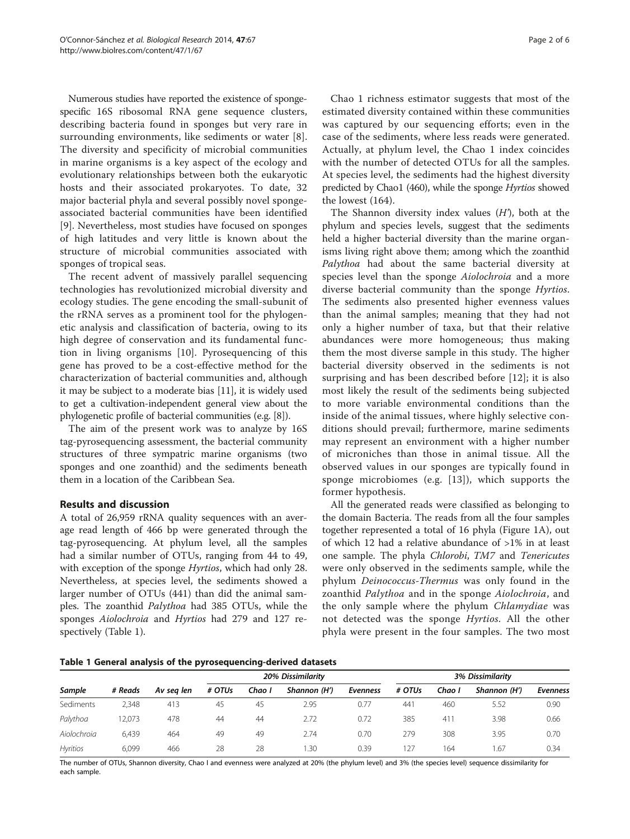Numerous studies have reported the existence of spongespecific 16S ribosomal RNA gene sequence clusters, describing bacteria found in sponges but very rare in surrounding environments, like sediments or water [[8](#page-4-0)]. The diversity and specificity of microbial communities in marine organisms is a key aspect of the ecology and evolutionary relationships between both the eukaryotic hosts and their associated prokaryotes. To date, 32 major bacterial phyla and several possibly novel spongeassociated bacterial communities have been identified [[9\]](#page-4-0). Nevertheless, most studies have focused on sponges of high latitudes and very little is known about the structure of microbial communities associated with sponges of tropical seas.

The recent advent of massively parallel sequencing technologies has revolutionized microbial diversity and ecology studies. The gene encoding the small-subunit of the rRNA serves as a prominent tool for the phylogenetic analysis and classification of bacteria, owing to its high degree of conservation and its fundamental function in living organisms [[10\]](#page-4-0). Pyrosequencing of this gene has proved to be a cost-effective method for the characterization of bacterial communities and, although it may be subject to a moderate bias [[11](#page-5-0)], it is widely used to get a cultivation-independent general view about the phylogenetic profile of bacterial communities (e.g. [[8](#page-4-0)]).

The aim of the present work was to analyze by 16S tag-pyrosequencing assessment, the bacterial community structures of three sympatric marine organisms (two sponges and one zoanthid) and the sediments beneath them in a location of the Caribbean Sea.

## Results and discussion

A total of 26,959 rRNA quality sequences with an average read length of 466 bp were generated through the tag-pyrosequencing. At phylum level, all the samples had a similar number of OTUs, ranging from 44 to 49, with exception of the sponge Hyrtios, which had only 28. Nevertheless, at species level, the sediments showed a larger number of OTUs (441) than did the animal samples. The zoanthid Palythoa had 385 OTUs, while the sponges Aiolochroia and Hyrtios had 279 and 127 respectively (Table 1).

Chao 1 richness estimator suggests that most of the estimated diversity contained within these communities was captured by our sequencing efforts; even in the case of the sediments, where less reads were generated. Actually, at phylum level, the Chao 1 index coincides with the number of detected OTUs for all the samples. At species level, the sediments had the highest diversity predicted by Chao1 (460), while the sponge Hyrtios showed the lowest (164).

The Shannon diversity index values  $(H')$ , both at the phylum and species levels, suggest that the sediments held a higher bacterial diversity than the marine organisms living right above them; among which the zoanthid Palythoa had about the same bacterial diversity at species level than the sponge Aiolochroia and a more diverse bacterial community than the sponge *Hyrtios*. The sediments also presented higher evenness values than the animal samples; meaning that they had not only a higher number of taxa, but that their relative abundances were more homogeneous; thus making them the most diverse sample in this study. The higher bacterial diversity observed in the sediments is not surprising and has been described before [\[12](#page-5-0)]; it is also most likely the result of the sediments being subjected to more variable environmental conditions than the inside of the animal tissues, where highly selective conditions should prevail; furthermore, marine sediments may represent an environment with a higher number of microniches than those in animal tissue. All the observed values in our sponges are typically found in sponge microbiomes (e.g. [[13](#page-5-0)]), which supports the former hypothesis.

All the generated reads were classified as belonging to the domain Bacteria. The reads from all the four samples together represented a total of 16 phyla (Figure [1](#page-2-0)A), out of which 12 had a relative abundance of >1% in at least one sample. The phyla Chlorobi, TM7 and Tenericutes were only observed in the sediments sample, while the phylum Deinococcus-Thermus was only found in the zoanthid Palythoa and in the sponge Aiolochroia, and the only sample where the phylum Chlamydiae was not detected was the sponge *Hyrtios*. All the other phyla were present in the four samples. The two most

Table 1 General analysis of the pyrosequencing-derived datasets

| Sample          | # Reads | Av seg len | 20% Dissimilarity |        |              |                 | 3% Dissimilarity |        |              |                 |
|-----------------|---------|------------|-------------------|--------|--------------|-----------------|------------------|--------|--------------|-----------------|
|                 |         |            | # OTUs            | Chao I | Shannon (H') | <b>Evenness</b> | # OTUs           | Chao I | Shannon (H') | <b>Evenness</b> |
| Sediments       | 2.348   | 413        | 45                | 45     | 2.95         | 0.77            | 441              | 460    | 5.52         | 0.90            |
| Palythoa        | 12.073  | 478        | 44                | 44     | 2.72         | 0.72            | 385              | 41'    | 3.98         | 0.66            |
| Aiolochroia     | 6.439   | 464        | 49                | 49     | 2.74         | 0.70            | 279              | 308    | 3.95         | 0.70            |
| <b>Hyritios</b> | 6.099   | 466        | 28                | 28     | 1.30         | 0.39            | 27               | 164    | 67،          | 0.34            |

The number of OTUs, Shannon diversity, Chao I and evenness were analyzed at 20% (the phylum level) and 3% (the species level) sequence dissimilarity for each sample.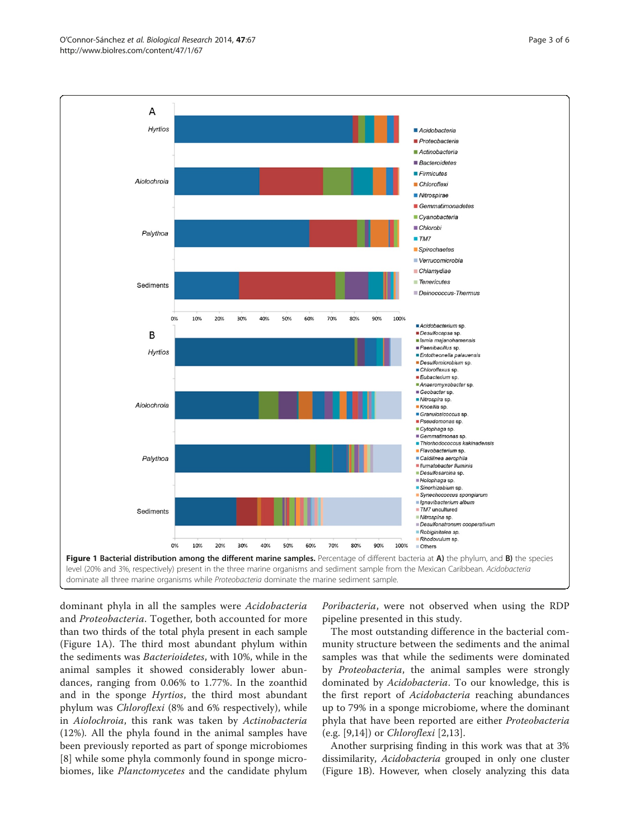<span id="page-2-0"></span>

dominant phyla in all the samples were Acidobacteria and Proteobacteria. Together, both accounted for more than two thirds of the total phyla present in each sample (Figure 1A). The third most abundant phylum within the sediments was Bacterioidetes, with 10%, while in the animal samples it showed considerably lower abundances, ranging from 0.06% to 1.77%. In the zoanthid and in the sponge *Hyrtios*, the third most abundant phylum was Chloroflexi (8% and 6% respectively), while in Aiolochroia, this rank was taken by Actinobacteria (12%). All the phyla found in the animal samples have been previously reported as part of sponge microbiomes [[8\]](#page-4-0) while some phyla commonly found in sponge microbiomes, like Planctomycetes and the candidate phylum

Poribacteria, were not observed when using the RDP pipeline presented in this study.

The most outstanding difference in the bacterial community structure between the sediments and the animal samples was that while the sediments were dominated by *Proteobacteria*, the animal samples were strongly dominated by Acidobacteria. To our knowledge, this is the first report of *Acidobacteria* reaching abundances up to 79% in a sponge microbiome, where the dominant phyla that have been reported are either Proteobacteria (e.g. [[9,](#page-4-0)[14\]](#page-5-0)) or Chloroflexi [\[2](#page-4-0),[13\]](#page-5-0).

Another surprising finding in this work was that at 3% dissimilarity, *Acidobacteria* grouped in only one cluster (Figure 1B). However, when closely analyzing this data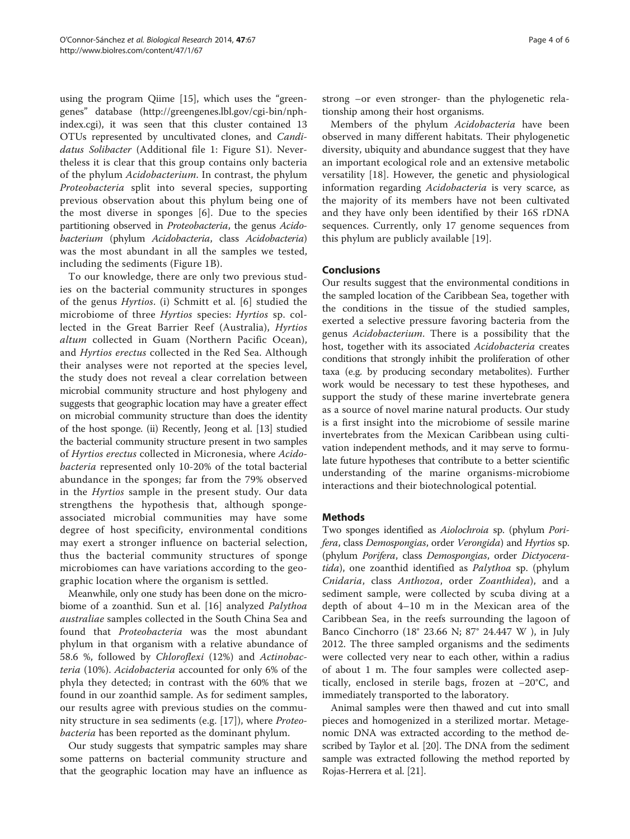using the program Qiime [[15\]](#page-5-0), which uses the "greengenes" database [\(http://greengenes.lbl.gov/cgi-bin/nph](http://greengenes.lbl.gov/cgi-bin/nph-index.cgi)[index.cgi\)](http://greengenes.lbl.gov/cgi-bin/nph-index.cgi), it was seen that this cluster contained 13 OTUs represented by uncultivated clones, and Candidatus Solibacter (Additional file [1:](#page-4-0) Figure S1). Nevertheless it is clear that this group contains only bacteria of the phylum Acidobacterium. In contrast, the phylum Proteobacteria split into several species, supporting previous observation about this phylum being one of the most diverse in sponges [[6\]](#page-4-0). Due to the species partitioning observed in Proteobacteria, the genus Acidobacterium (phylum Acidobacteria, class Acidobacteria) was the most abundant in all the samples we tested, including the sediments (Figure [1B](#page-2-0)).

To our knowledge, there are only two previous studies on the bacterial community structures in sponges of the genus Hyrtios. (i) Schmitt et al. [[6](#page-4-0)] studied the microbiome of three Hyrtios species: Hyrtios sp. collected in the Great Barrier Reef (Australia), Hyrtios altum collected in Guam (Northern Pacific Ocean), and Hyrtios erectus collected in the Red Sea. Although their analyses were not reported at the species level, the study does not reveal a clear correlation between microbial community structure and host phylogeny and suggests that geographic location may have a greater effect on microbial community structure than does the identity of the host sponge. (ii) Recently, Jeong et al. [\[13\]](#page-5-0) studied the bacterial community structure present in two samples of Hyrtios erectus collected in Micronesia, where Acidobacteria represented only 10-20% of the total bacterial abundance in the sponges; far from the 79% observed in the Hyrtios sample in the present study. Our data strengthens the hypothesis that, although spongeassociated microbial communities may have some degree of host specificity, environmental conditions may exert a stronger influence on bacterial selection, thus the bacterial community structures of sponge microbiomes can have variations according to the geographic location where the organism is settled.

Meanwhile, only one study has been done on the microbiome of a zoanthid. Sun et al. [[16\]](#page-5-0) analyzed Palythoa australiae samples collected in the South China Sea and found that Proteobacteria was the most abundant phylum in that organism with a relative abundance of 58.6 %, followed by Chloroflexi (12%) and Actinobacteria (10%). Acidobacteria accounted for only 6% of the phyla they detected; in contrast with the 60% that we found in our zoanthid sample. As for sediment samples, our results agree with previous studies on the community structure in sea sediments (e.g. [\[17](#page-5-0)]), where Proteobacteria has been reported as the dominant phylum.

Our study suggests that sympatric samples may share some patterns on bacterial community structure and that the geographic location may have an influence as strong –or even stronger- than the phylogenetic relationship among their host organisms.

Members of the phylum Acidobacteria have been observed in many different habitats. Their phylogenetic diversity, ubiquity and abundance suggest that they have an important ecological role and an extensive metabolic versatility [\[18](#page-5-0)]. However, the genetic and physiological information regarding Acidobacteria is very scarce, as the majority of its members have not been cultivated and they have only been identified by their 16S rDNA sequences. Currently, only 17 genome sequences from this phylum are publicly available [\[19](#page-5-0)].

### Conclusions

Our results suggest that the environmental conditions in the sampled location of the Caribbean Sea, together with the conditions in the tissue of the studied samples, exerted a selective pressure favoring bacteria from the genus Acidobacterium. There is a possibility that the host, together with its associated Acidobacteria creates conditions that strongly inhibit the proliferation of other taxa (e.g. by producing secondary metabolites). Further work would be necessary to test these hypotheses, and support the study of these marine invertebrate genera as a source of novel marine natural products. Our study is a first insight into the microbiome of sessile marine invertebrates from the Mexican Caribbean using cultivation independent methods, and it may serve to formulate future hypotheses that contribute to a better scientific understanding of the marine organisms-microbiome interactions and their biotechnological potential.

#### **Methods**

Two sponges identified as Aiolochroia sp. (phylum Porifera, class Demospongias, order Verongida) and Hyrtios sp. (phylum Porifera, class Demospongias, order Dictyoceratida), one zoanthid identified as Palythoa sp. (phylum Cnidaria, class Anthozoa, order Zoanthidea), and a sediment sample, were collected by scuba diving at a depth of about 4–10 m in the Mexican area of the Caribbean Sea, in the reefs surrounding the lagoon of Banco Cinchorro (18° 23.66 N; 87° 24.447 W ), in July 2012. The three sampled organisms and the sediments were collected very near to each other, within a radius of about 1 m. The four samples were collected aseptically, enclosed in sterile bags, frozen at −20°C, and immediately transported to the laboratory.

Animal samples were then thawed and cut into small pieces and homogenized in a sterilized mortar. Metagenomic DNA was extracted according to the method described by Taylor et al. [[20](#page-5-0)]. The DNA from the sediment sample was extracted following the method reported by Rojas-Herrera et al. [\[21\]](#page-5-0).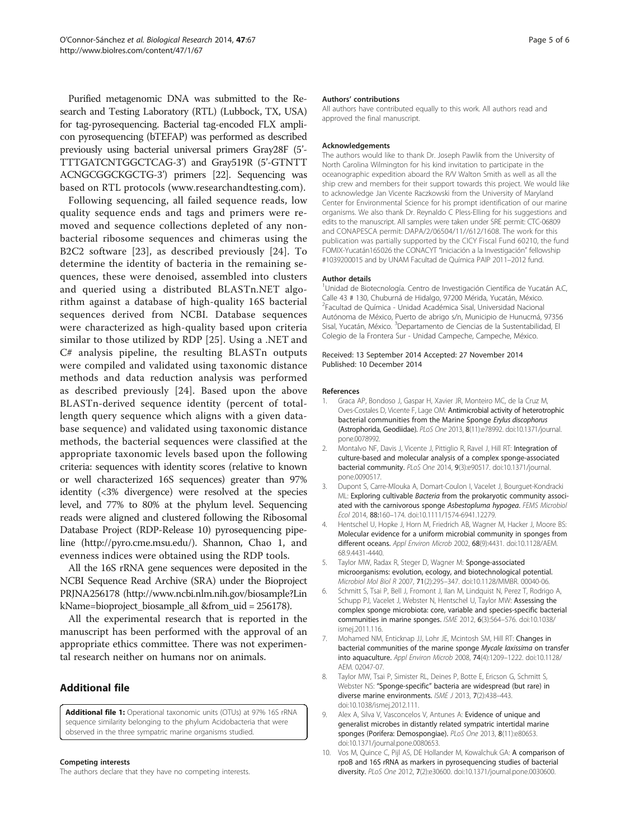<span id="page-4-0"></span>Purified metagenomic DNA was submitted to the Research and Testing Laboratory (RTL) (Lubbock, TX, USA) for tag-pyrosequencing. Bacterial tag-encoded FLX amplicon pyrosequencing (bTEFAP) was performed as described previously using bacterial universal primers Gray28F (5'- TTTGATCNTGGCTCAG-3') and Gray519R (5'-GTNTT ACNGCGGCKGCTG-3') primers [\[22](#page-5-0)]. Sequencing was based on RTL protocols ([www.researchandtesting.com](http://www.researchandtesting.com)).

Following sequencing, all failed sequence reads, low quality sequence ends and tags and primers were removed and sequence collections depleted of any nonbacterial ribosome sequences and chimeras using the B2C2 software [[23](#page-5-0)], as described previously [[24](#page-5-0)]. To determine the identity of bacteria in the remaining sequences, these were denoised, assembled into clusters and queried using a distributed BLASTn.NET algorithm against a database of high-quality 16S bacterial sequences derived from NCBI. Database sequences were characterized as high-quality based upon criteria similar to those utilized by RDP [[25\]](#page-5-0). Using a .NET and C# analysis pipeline, the resulting BLASTn outputs were compiled and validated using taxonomic distance methods and data reduction analysis was performed as described previously [[24\]](#page-5-0). Based upon the above BLASTn-derived sequence identity (percent of totallength query sequence which aligns with a given database sequence) and validated using taxonomic distance methods, the bacterial sequences were classified at the appropriate taxonomic levels based upon the following criteria: sequences with identity scores (relative to known or well characterized 16S sequences) greater than 97% identity (<3% divergence) were resolved at the species level, and 77% to 80% at the phylum level. Sequencing reads were aligned and clustered following the Ribosomal Database Project (RDP-Release 10) pyrosequencing pipeline (<http://pyro.cme.msu.edu/>). Shannon, Chao 1, and evenness indices were obtained using the RDP tools.

All the 16S rRNA gene sequences were deposited in the NCBI Sequence Read Archive (SRA) under the Bioproject PRJNA256178 [\(http://www.ncbi.nlm.nih.gov/biosample?Lin](http://www.ncbi.nlm.nih.gov/biosample?LinkName=bioproject_biosample_all) [kName=bioproject\\_biosample\\_all](http://www.ncbi.nlm.nih.gov/biosample?LinkName=bioproject_biosample_all) &from\_uid = 256178).

All the experimental research that is reported in the manuscript has been performed with the approval of an appropriate ethics committee. There was not experimental research neither on humans nor on animals.

## Additional file

[Additional file 1:](http://www.biomedcentral.com/content/supplementary/0717-6287-47-67-S1.pdf) Operational taxonomic units (OTUs) at 97% 16S rRNA sequence similarity belonging to the phylum Acidobacteria that were observed in the three sympatric marine organisms studied.

#### Competing interests

The authors declare that they have no competing interests.

#### Authors' contributions

All authors have contributed equally to this work. All authors read and approved the final manuscript.

#### Acknowledgements

The authors would like to thank Dr. Joseph Pawlik from the University of North Carolina Wilmington for his kind invitation to participate in the oceanographic expedition aboard the R/V Walton Smith as well as all the ship crew and members for their support towards this project. We would like to acknowledge Jan Vicente Raczkowski from the University of Maryland Center for Environmental Science for his prompt identification of our marine organisms. We also thank Dr. Reynaldo C Pless-Elling for his suggestions and edits to the manuscript. All samples were taken under SRE permit: CTC-06809 and CONAPESCA permit: DAPA/2/06504/11//612/1608. The work for this publication was partially supported by the CICY Fiscal Fund 60210, the fund FOMIX-Yucatán165026 the CONACYT "Iniciación a la Investigación" fellowship #1039200015 and by UNAM Facultad de Química PAIP 2011–2012 fund.

#### Author details

<sup>1</sup>Unidad de Biotecnología. Centro de Investigación Científica de Yucatán A.C Calle 43 # 130, Chuburná de Hidalgo, 97200 Mérida, Yucatán, México. 2 Facultad de Química - Unidad Académica Sisal, Universidad Nacional Autónoma de México, Puerto de abrigo s/n, Municipio de Hunucmá, 97356 Sisal, Yucatán, México. <sup>3</sup>Departamento de Ciencias de la Sustentabilidad, El Colegio de la Frontera Sur - Unidad Campeche, Campeche, México.

#### Received: 13 September 2014 Accepted: 27 November 2014 Published: 10 December 2014

#### References

- 1. Graca AP, Bondoso J, Gaspar H, Xavier JR, Monteiro MC, de la Cruz M, Oves-Costales D, Vicente F, Lage OM: Antimicrobial activity of heterotrophic bacterial communities from the Marine Sponge Erylus discophorus (Astrophorida, Geodiidae). PLoS One 2013, 8(11):e78992. doi:10.1371/journal. pone.0078992.
- 2. Montalvo NF, Davis J, Vicente J, Pittiglio R, Ravel J, Hill RT: Integration of culture-based and molecular analysis of a complex sponge-associated bacterial community. PLoS One 2014, 9(3):e90517. doi:10.1371/journal. pone.0090517.
- 3. Dupont S, Carre-Mlouka A, Domart-Coulon I, Vacelet J, Bourguet-Kondracki ML: Exploring cultivable *Bacteria* from the prokaryotic community associated with the carnivorous sponge Asbestopluma hypogea. FEMS Microbiol Ecol 2014, 88:160–174. doi:10.1111/1574-6941.12279.
- 4. Hentschel U, Hopke J, Horn M, Friedrich AB, Wagner M, Hacker J, Moore BS: Molecular evidence for a uniform microbial community in sponges from different oceans. Appl Environ Microb 2002, 68(9):4431. doi:10.1128/AEM. 68.9.4431-4440.
- 5. Taylor MW, Radax R, Steger D, Wagner M: Sponge-associated microorganisms: evolution, ecology, and biotechnological potential. Microbiol Mol Biol R 2007, 71(2):295–347. doi:10.1128/MMBR. 00040-06.
- 6. Schmitt S, Tsai P, Bell J, Fromont J, Ilan M, Lindquist N, Perez T, Rodrigo A, Schupp PJ, Vacelet J, Webster N, Hentschel U, Taylor MW: Assessing the complex sponge microbiota: core, variable and species-specific bacterial communities in marine sponges. ISME 2012, 6(3):564–576. doi:10.1038/ ismej.2011.116.
- 7. Mohamed NM, Enticknap JJ, Lohr JE, Mcintosh SM, Hill RT: Changes in bacterial communities of the marine sponge Mycale laxissima on transfer into aquaculture. Appl Environ Microb 2008, 74(4):1209–1222. doi:10.1128/ AEM. 02047-07.
- 8. Taylor MW, Tsai P, Simister RL, Deines P, Botte E, Ericson G, Schmitt S, Webster NS: "Sponge-specific" bacteria are widespread (but rare) in diverse marine environments. ISME J 2013, 7(2):438–443. doi:10.1038/ismej.2012.111.
- 9. Alex A, Silva V, Vasconcelos V, Antunes A: Evidence of unique and generalist microbes in distantly related sympatric intertidal marine sponges (Porifera: Demospongiae). PLoS One 2013, 8(11):e80653. doi:10.1371/journal.pone.0080653.
- 10. Vos M, Quince C, Pijl AS, DE Hollander M, Kowalchuk GA: A comparison of rpoB and 16S rRNA as markers in pyrosequencing studies of bacterial diversity. PLoS One 2012, 7(2):e30600. doi:10.1371/journal.pone.0030600.